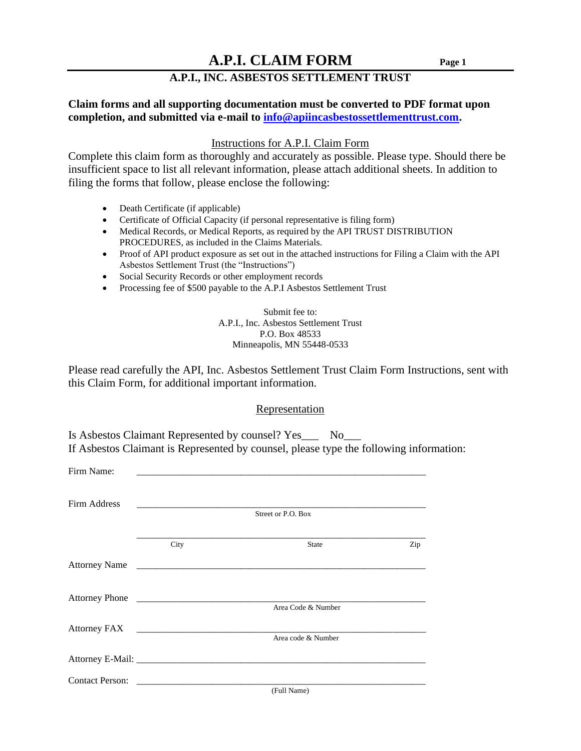### **A.P.I., INC. ASBESTOS SETTLEMENT TRUST**

### **Claim forms and all supporting documentation must be converted to PDF format upon completion, and submitted via e-mail to [info@apiincasbestossettlementtrust.com.](mailto:info@apiincasbestossettlementtrust.com)**

#### Instructions for A.P.I. Claim Form

Complete this claim form as thoroughly and accurately as possible. Please type. Should there be insufficient space to list all relevant information, please attach additional sheets. In addition to filing the forms that follow, please enclose the following:

- Death Certificate (if applicable)
- Certificate of Official Capacity (if personal representative is filing form)
- Medical Records, or Medical Reports, as required by the API TRUST DISTRIBUTION PROCEDURES, as included in the Claims Materials.
- Proof of API product exposure as set out in the attached instructions for Filing a Claim with the API Asbestos Settlement Trust (the "Instructions")
- Social Security Records or other employment records
- Processing fee of \$500 payable to the A.P.I Asbestos Settlement Trust

Submit fee to: A.P.I., Inc. Asbestos Settlement Trust P.O. Box 48533 Minneapolis, MN 55448-0533

Please read carefully the API, Inc. Asbestos Settlement Trust Claim Form Instructions, sent with this Claim Form, for additional important information.

#### Representation

| Is Asbestos Claimant Represented by counsel? Yes_ |                                                                                        |
|---------------------------------------------------|----------------------------------------------------------------------------------------|
|                                                   | If Asbestos Claimant is Represented by counsel, please type the following information: |

| Firm Name:   |      |                    |     |
|--------------|------|--------------------|-----|
| Firm Address |      |                    |     |
|              |      | Street or P.O. Box |     |
|              | City | <b>State</b>       | Zip |
|              |      | Attorney Name      |     |
|              |      |                    |     |
|              |      | Area Code & Number |     |
|              |      | Area code & Number |     |
|              |      |                    |     |
|              |      |                    |     |
|              |      | (Full Name)        |     |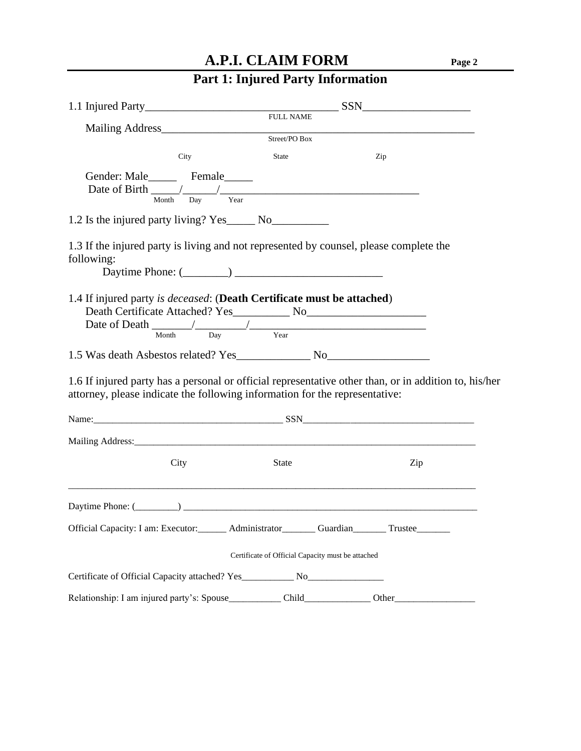# **Part 1: Injured Party Information**

|                                                                                                                                                                                      | <b>FULL NAME</b>                                  |  |          |  |
|--------------------------------------------------------------------------------------------------------------------------------------------------------------------------------------|---------------------------------------------------|--|----------|--|
|                                                                                                                                                                                      | Street/PO Box                                     |  |          |  |
| City                                                                                                                                                                                 | <b>State</b>                                      |  | Zip      |  |
| Gender: Male_________ Female______<br>Date of Birth $\frac{1}{\frac{1}{\frac{1}{\frac{1}{\sqrt{1}}}} \frac{1}{\frac{1}{\sqrt{1}}}}$ Year                                             |                                                   |  |          |  |
|                                                                                                                                                                                      |                                                   |  |          |  |
| 1.3 If the injured party is living and not represented by counsel, please complete the<br>following:                                                                                 |                                                   |  |          |  |
| 1.4 If injured party is <i>deceased</i> : (Death Certificate must be attached)<br>Date of Death $\frac{1}{\text{Month}}$ $\frac{1}{\text{Day}}$ $\frac{1}{\text{Year}}$              |                                                   |  |          |  |
|                                                                                                                                                                                      |                                                   |  |          |  |
| 1.6 If injured party has a personal or official representative other than, or in addition to, his/her<br>attorney, please indicate the following information for the representative: |                                                   |  |          |  |
|                                                                                                                                                                                      |                                                   |  |          |  |
|                                                                                                                                                                                      |                                                   |  |          |  |
| City                                                                                                                                                                                 | <b>State</b>                                      |  | Zip      |  |
| Daytime Phone: $(\_\_)$                                                                                                                                                              |                                                   |  |          |  |
| Official Capacity: I am: Executor: ______ Administrator ______ Guardian ____                                                                                                         |                                                   |  | Trustee_ |  |
|                                                                                                                                                                                      | Certificate of Official Capacity must be attached |  |          |  |
| Certificate of Official Capacity attached? Yes_______________ No_________________                                                                                                    |                                                   |  |          |  |
|                                                                                                                                                                                      |                                                   |  | Other_   |  |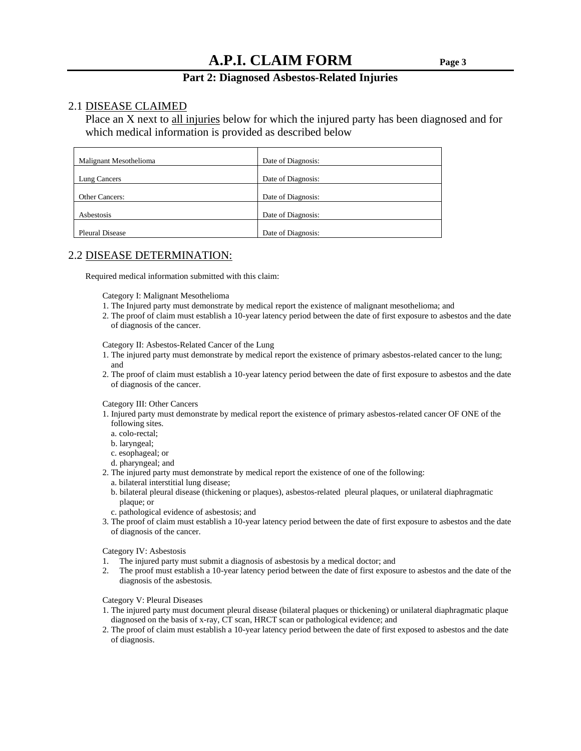#### **Part 2: Diagnosed Asbestos-Related Injuries**

#### 2.1 DISEASE CLAIMED

Place an X next to all injuries below for which the injured party has been diagnosed and for which medical information is provided as described below

| Malignant Mesothelioma | Date of Diagnosis: |
|------------------------|--------------------|
| Lung Cancers           | Date of Diagnosis: |
| <b>Other Cancers:</b>  | Date of Diagnosis: |
| Asbestosis             | Date of Diagnosis: |
| <b>Pleural Disease</b> | Date of Diagnosis: |

#### 2.2 DISEASE DETERMINATION:

Required medical information submitted with this claim:

Category I: Malignant Mesothelioma

- 1. The Injured party must demonstrate by medical report the existence of malignant mesothelioma; and
- 2. The proof of claim must establish a 10-year latency period between the date of first exposure to asbestos and the date of diagnosis of the cancer.

Category II: Asbestos-Related Cancer of the Lung

- 1. The injured party must demonstrate by medical report the existence of primary asbestos-related cancer to the lung; and
- 2. The proof of claim must establish a 10-year latency period between the date of first exposure to asbestos and the date of diagnosis of the cancer.

Category III: Other Cancers

- 1. Injured party must demonstrate by medical report the existence of primary asbestos-related cancer OF ONE of the following sites.
	- a. colo-rectal;
	- b. laryngeal;
	- c. esophageal; or
	- d. pharyngeal; and
- 2. The injured party must demonstrate by medical report the existence of one of the following:
	- a. bilateral interstitial lung disease;
	- b. bilateral pleural disease (thickening or plaques), asbestos-related pleural plaques, or unilateral diaphragmatic plaque; or
	- c. pathological evidence of asbestosis; and
- 3. The proof of claim must establish a 10-year latency period between the date of first exposure to asbestos and the date of diagnosis of the cancer.

Category IV: Asbestosis

- 1. The injured party must submit a diagnosis of asbestosis by a medical doctor; and
- 2. The proof must establish a 10-year latency period between the date of first exposure to asbestos and the date of the diagnosis of the asbestosis.

Category V: Pleural Diseases

- 1. The injured party must document pleural disease (bilateral plaques or thickening) or unilateral diaphragmatic plaque diagnosed on the basis of x-ray, CT scan, HRCT scan or pathological evidence; and
- 2. The proof of claim must establish a 10-year latency period between the date of first exposed to asbestos and the date of diagnosis.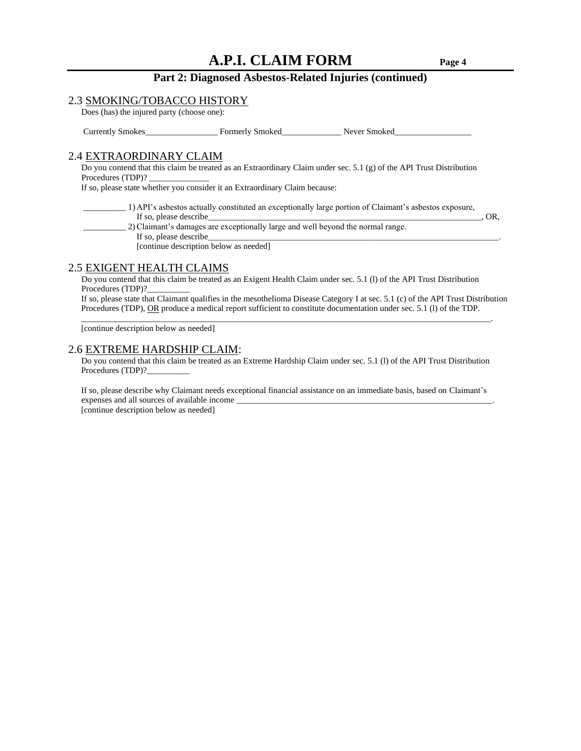#### **Part 2: Diagnosed Asbestos-Related Injuries (continued)**

#### 2.3 SMOKING/TOBACCO HISTORY

Does (has) the injured party (choose one):

Currently Smokes<br>
Formerly Smoked<br>
Never Smoked

#### 2.4 EXTRAORDINARY CLAIM

Do you contend that this claim be treated as an Extraordinary Claim under sec. 5.1 (g) of the API Trust Distribution Procedures (TDP)?

If so, please state whether you consider it an Extraordinary Claim because:

 \_\_\_\_\_\_\_\_\_\_ 1) API's asbestos actually constituted an exceptionally large portion of Claimant's asbestos exposure, If so, please describe  $\overline{O}$ ,  $\overline{O}$ ,  $\overline{O}$ ,  $\overline{O}$ ,  $\overline{O}$ ,  $\overline{O}$ ,  $\overline{O}$ ,  $\overline{O}$ ,  $\overline{O}$ ,  $\overline{O}$ ,  $\overline{O}$ ,  $\overline{O}$ ,  $\overline{O}$ ,  $\overline{O}$ ,  $\overline{O}$ ,  $\overline{O}$ ,  $\overline{O}$ ,  $\overline{O}$ ,  $\overline{O}$ ,  $\overline{O}$ 

 \_\_\_\_\_\_\_\_\_\_ 2)Claimant's damages are exceptionally large and well beyond the normal range. If so, please describe [continue description below as needed]

#### 2.5 EXIGENT HEALTH CLAIMS

Do you contend that this claim be treated as an Exigent Health Claim under sec. 5.1 (l) of the API Trust Distribution Procedures (TDP)?

 $\overline{\phantom{a}}$  , and the contribution of the contribution of the contribution of the contribution of the contribution of the contribution of the contribution of the contribution of the contribution of the contribution of the

 If so, please state that Claimant qualifies in the mesothelioma Disease Category I at sec. 5.1 (c) of the API Trust Distribution Procedures (TDP), OR produce a medical report sufficient to constitute documentation under sec. 5.1 (1) of the TDP.

[continue description below as needed]

#### 2.6 EXTREME HARDSHIP CLAIM:

 Do you contend that this claim be treated as an Extreme Hardship Claim under sec. 5.1 (l) of the API Trust Distribution Procedures (TDP)?

 If so, please describe why Claimant needs exceptional financial assistance on an immediate basis, based on Claimant's expenses and all sources of available income

[continue description below as needed]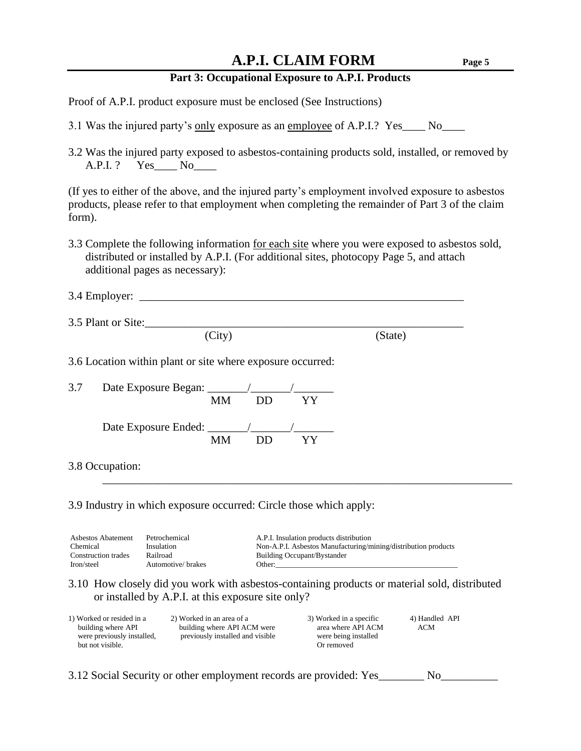### **Part 3: Occupational Exposure to A.P.I. Products**

Proof of A.P.I. product exposure must be enclosed (See Instructions)

- 3.1 Was the injured party's only exposure as an employee of A.P.I.? Yes No
- 3.2 Was the injured party exposed to asbestos-containing products sold, installed, or removed by A.P.I. ? Yes\_\_\_\_ No\_\_\_\_

(If yes to either of the above, and the injured party's employment involved exposure to asbestos products, please refer to that employment when completing the remainder of Part 3 of the claim form).

3.3 Complete the following information for each site where you were exposed to asbestos sold, distributed or installed by A.P.I. (For additional sites, photocopy Page 5, and attach additional pages as necessary):

|     | 3.5 Plant or Site:                                         |         |
|-----|------------------------------------------------------------|---------|
|     | (City)                                                     | (State) |
|     | 3.6 Location within plant or site where exposure occurred: |         |
| 3.7 |                                                            |         |
|     | YY<br>DD.<br><b>MM</b>                                     |         |

3.8 Occupation:

3.9 Industry in which exposure occurred: Circle those which apply:

| Asbestos Abatement  | Petrochemical      | A.P.I. Insulation products distribution                        |
|---------------------|--------------------|----------------------------------------------------------------|
| Chemical            | Insulation         | Non-A.P.I. Asbestos Manufacturing/mining/distribution products |
| Construction trades | Railroad           | Building Occupant/Bystander                                    |
| Iron/steel          | Automotive/ brakes | Other:                                                         |

3.10 How closely did you work with asbestos-containing products or material sold, distributed or installed by A.P.I. at this exposure site only?

\_\_\_\_\_\_\_\_\_\_\_\_\_\_\_\_\_\_\_\_\_\_\_\_\_\_\_\_\_\_\_\_\_\_\_\_\_\_\_\_\_\_\_\_\_\_\_\_\_\_\_\_\_\_\_\_\_\_\_\_\_\_\_\_\_\_\_\_\_\_\_\_

| 1) Worked or resided in a  | 2) Worked in an area of a        | 3) Worked in a specific | 4) Handled API |
|----------------------------|----------------------------------|-------------------------|----------------|
| building where API         | building where API ACM were      | area where API ACM      | ACM            |
| were previously installed, | previously installed and visible | were being installed    |                |
| but not visible.           |                                  | Or removed              |                |
|                            |                                  |                         |                |

3.12 Social Security or other employment records are provided: Yes\_\_\_\_\_\_\_\_ No\_\_\_\_\_\_\_\_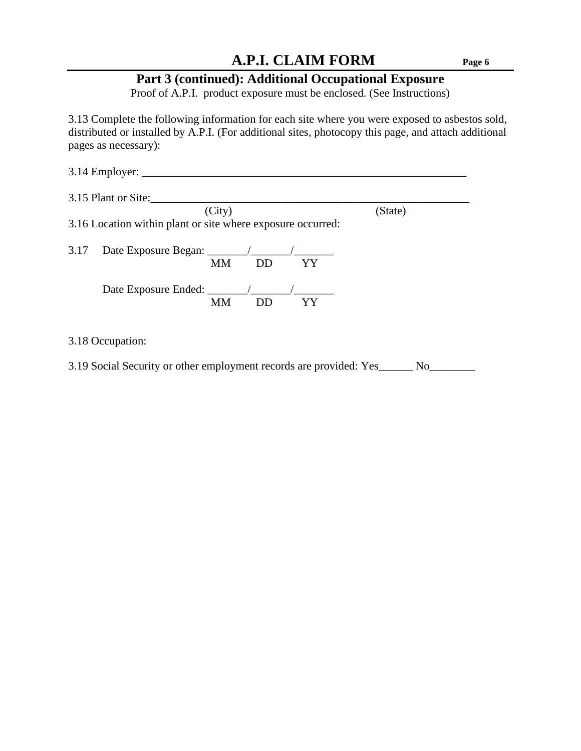# **Part 3 (continued): Additional Occupational Exposure**

Proof of A.P.I. product exposure must be enclosed. (See Instructions)

3.13 Complete the following information for each site where you were exposed to asbestos sold, distributed or installed by A.P.I. (For additional sites, photocopy this page, and attach additional pages as necessary):

|      | $3.14$ Employer: $\_\_$                                     |         |
|------|-------------------------------------------------------------|---------|
|      | 3.15 Plant or Site:                                         |         |
|      | (City)                                                      | (State) |
|      | 3.16 Location within plant or site where exposure occurred: |         |
|      |                                                             |         |
| 3.17 |                                                             |         |
|      | DD<br>MM <b>M</b><br>YY                                     |         |
|      |                                                             |         |
|      |                                                             |         |
|      | MМ<br>DD.<br>YY                                             |         |
|      |                                                             |         |

3.18 Occupation:

3.19 Social Security or other employment records are provided: Yes\_\_\_\_\_\_ No\_\_\_\_\_\_\_\_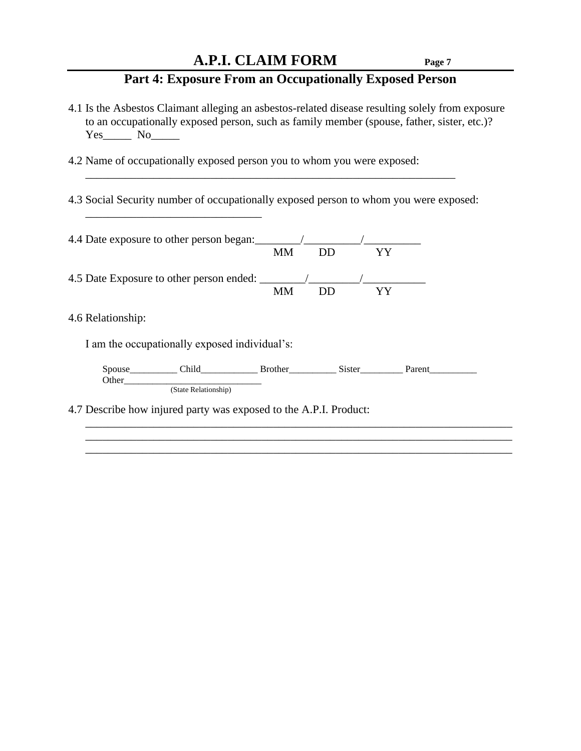### **Part 4: Exposure From an Occupationally Exposed Person**

4.1 Is the Asbestos Claimant alleging an asbestos-related disease resulting solely from exposure to an occupationally exposed person, such as family member (spouse, father, sister, etc.)? Yes\_\_\_\_\_\_\_\_\_ No\_\_\_\_\_\_\_

 $\frac{1}{2}$  , and the set of the set of the set of the set of the set of the set of the set of the set of the set of the set of the set of the set of the set of the set of the set of the set of the set of the set of the set

4.2 Name of occupationally exposed person you to whom you were exposed:

\_\_\_\_\_\_\_\_\_\_\_\_\_\_\_\_\_\_\_\_\_\_\_\_\_\_\_\_\_\_\_

4.3 Social Security number of occupationally exposed person to whom you were exposed:

| 4.4 Date exposure to other person began:                          |                                               |           |           |           |  |
|-------------------------------------------------------------------|-----------------------------------------------|-----------|-----------|-----------|--|
|                                                                   |                                               | <b>MM</b> | <b>DD</b> | <b>YY</b> |  |
|                                                                   |                                               |           |           |           |  |
|                                                                   |                                               | <b>MM</b> | DD        | <b>YY</b> |  |
| 4.6 Relationship:                                                 |                                               |           |           |           |  |
|                                                                   | I am the occupationally exposed individual's: |           |           |           |  |
| Other                                                             | Spouse Child Brother Sister Parent            |           |           |           |  |
|                                                                   | (State Relationship)                          |           |           |           |  |
| 4.7 Describe how injured party was exposed to the A.P.I. Product: |                                               |           |           |           |  |

\_\_\_\_\_\_\_\_\_\_\_\_\_\_\_\_\_\_\_\_\_\_\_\_\_\_\_\_\_\_\_\_\_\_\_\_\_\_\_\_\_\_\_\_\_\_\_\_\_\_\_\_\_\_\_\_\_\_\_\_\_\_\_\_\_\_\_\_\_\_\_\_\_\_\_ \_\_\_\_\_\_\_\_\_\_\_\_\_\_\_\_\_\_\_\_\_\_\_\_\_\_\_\_\_\_\_\_\_\_\_\_\_\_\_\_\_\_\_\_\_\_\_\_\_\_\_\_\_\_\_\_\_\_\_\_\_\_\_\_\_\_\_\_\_\_\_\_\_\_\_ \_\_\_\_\_\_\_\_\_\_\_\_\_\_\_\_\_\_\_\_\_\_\_\_\_\_\_\_\_\_\_\_\_\_\_\_\_\_\_\_\_\_\_\_\_\_\_\_\_\_\_\_\_\_\_\_\_\_\_\_\_\_\_\_\_\_\_\_\_\_\_\_\_\_\_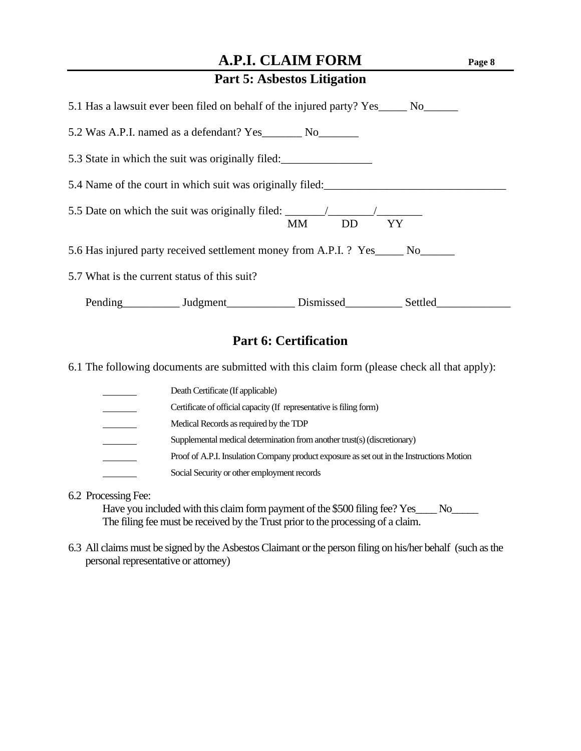| 5.1 Has a lawsuit ever been filed on behalf of the injured party? Yes______ No______              |
|---------------------------------------------------------------------------------------------------|
| 5.2 Was A.P.I. named as a defendant? Yes _________ No_________                                    |
| 5.3 State in which the suit was originally filed:                                                 |
| 5.4 Name of the court in which suit was originally filed:                                         |
| 5.5 Date on which the suit was originally filed: ________________________________<br>MM DD<br>YY. |
| 5.6 Has injured party received settlement money from A.P.I. ? Yes_____ No______                   |
| 5.7 What is the current status of this suit?                                                      |
| Pending Judgment Dismissed Settled                                                                |

### **Part 6: Certification**

6.1 The following documents are submitted with this claim form (please check all that apply):

| Death Certificate (If applicable)                                                         |
|-------------------------------------------------------------------------------------------|
| Certificate of official capacity (If representative is filing form)                       |
| Medical Records as required by the TDP                                                    |
| Supplemental medical determination from another trust(s) (discretionary)                  |
| Proof of A.P.I. Insulation Company product exposure as set out in the Instructions Motion |
| Social Security or other employment records                                               |

6.2 Processing Fee:

Have you included with this claim form payment of the \$500 filing fee? Yes\_\_\_\_ No\_\_\_\_\_ The filing fee must be received by the Trust prior to the processing of a claim.

6.3 All claims must be signed by the Asbestos Claimant or the person filing on his/her behalf (such as the personal representative or attorney)